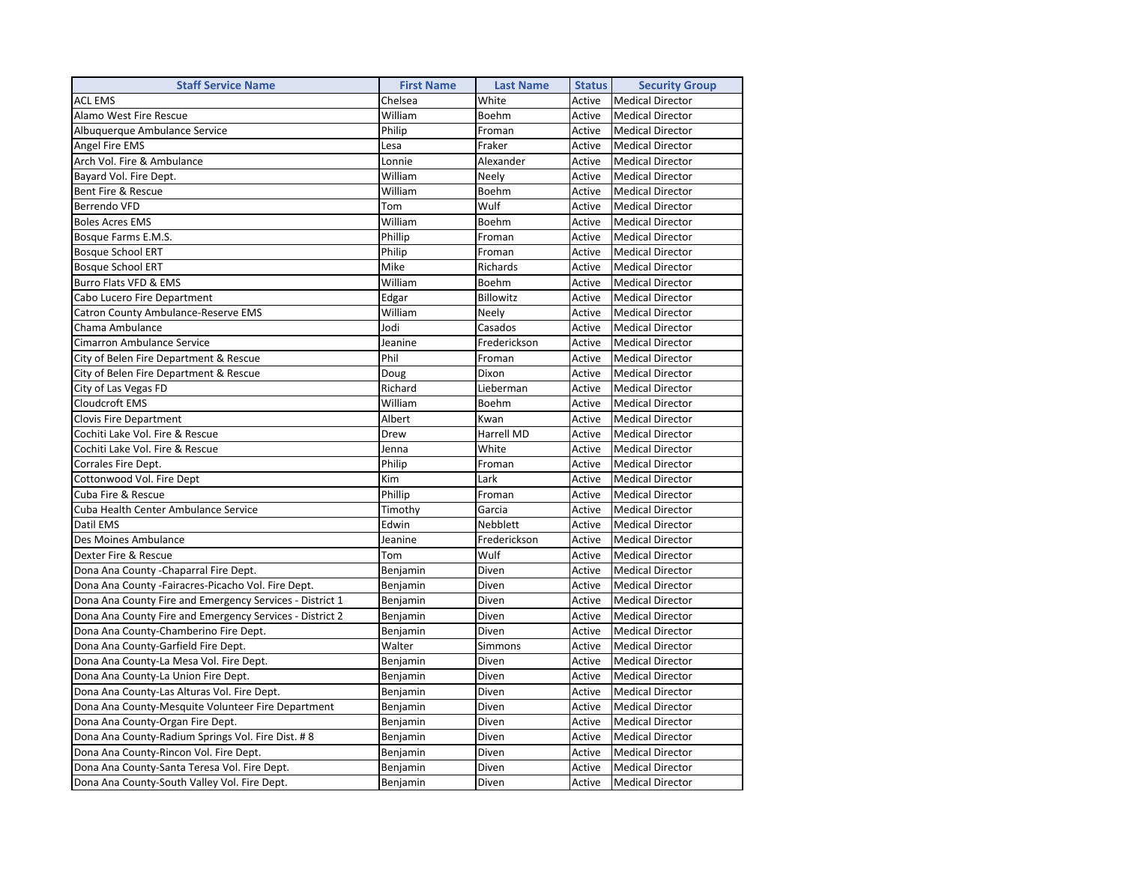| <b>Staff Service Name</b>                                | <b>First Name</b> | <b>Last Name</b> | <b>Status</b> | <b>Security Group</b>   |  |
|----------------------------------------------------------|-------------------|------------------|---------------|-------------------------|--|
| <b>ACL EMS</b>                                           | Chelsea           | White            | Active        | <b>Medical Director</b> |  |
| Alamo West Fire Rescue                                   | William           | Boehm            | Active        | <b>Medical Director</b> |  |
| Albuquerque Ambulance Service                            | Philip            | Froman           | Active        | <b>Medical Director</b> |  |
| Angel Fire EMS                                           | Lesa              | Fraker           | Active        | <b>Medical Director</b> |  |
| Arch Vol. Fire & Ambulance                               | Lonnie            | Alexander        | Active        | <b>Medical Director</b> |  |
| Bayard Vol. Fire Dept.                                   | William           | Neely            | Active        | <b>Medical Director</b> |  |
| Bent Fire & Rescue                                       | William           | Boehm            | Active        | <b>Medical Director</b> |  |
| Berrendo VFD                                             | Tom               | Wulf             | Active        | <b>Medical Director</b> |  |
| <b>Boles Acres EMS</b>                                   | William           | Boehm            | Active        | <b>Medical Director</b> |  |
| Bosque Farms E.M.S.                                      | Phillip           | Froman           | Active        | <b>Medical Director</b> |  |
| <b>Bosque School ERT</b>                                 | Philip            | Froman           | Active        | <b>Medical Director</b> |  |
| <b>Bosque School ERT</b>                                 | Mike              | Richards         | Active        | <b>Medical Director</b> |  |
| Burro Flats VFD & EMS                                    | William           | Boehm            | Active        | <b>Medical Director</b> |  |
| Cabo Lucero Fire Department                              | Edgar             | Billowitz        | Active        | <b>Medical Director</b> |  |
| Catron County Ambulance-Reserve EMS                      | William           | Neely            | Active        | <b>Medical Director</b> |  |
| Chama Ambulance                                          | Jodi              | Casados          | Active        | <b>Medical Director</b> |  |
| Cimarron Ambulance Service                               | Jeanine           | Frederickson     | Active        | <b>Medical Director</b> |  |
| City of Belen Fire Department & Rescue                   | Phil              | Froman           | Active        | <b>Medical Director</b> |  |
| City of Belen Fire Department & Rescue                   | Doug              | Dixon            | Active        | <b>Medical Director</b> |  |
| City of Las Vegas FD                                     | Richard           | Lieberman        | Active        | <b>Medical Director</b> |  |
| Cloudcroft EMS                                           | William           | Boehm            | Active        | <b>Medical Director</b> |  |
| <b>Clovis Fire Department</b>                            | Albert            | Kwan             | Active        | <b>Medical Director</b> |  |
| Cochiti Lake Vol. Fire & Rescue                          | Drew              | Harrell MD       | Active        | <b>Medical Director</b> |  |
| Cochiti Lake Vol. Fire & Rescue                          | Jenna             | White            | Active        | <b>Medical Director</b> |  |
| Corrales Fire Dept.                                      | Philip            | Froman           | Active        | <b>Medical Director</b> |  |
| Cottonwood Vol. Fire Dept                                | Kim               | Lark             | Active        | <b>Medical Director</b> |  |
| Cuba Fire & Rescue                                       | Phillip           | Froman           | Active        | <b>Medical Director</b> |  |
| Cuba Health Center Ambulance Service                     | Timothy           | Garcia           | Active        | <b>Medical Director</b> |  |
| Datil EMS                                                | Edwin             | <b>Nebblett</b>  | Active        | <b>Medical Director</b> |  |
| Des Moines Ambulance                                     | Jeanine           | Frederickson     | Active        | <b>Medical Director</b> |  |
| Dexter Fire & Rescue                                     | Tom               | Wulf             | Active        | <b>Medical Director</b> |  |
| Dona Ana County - Chaparral Fire Dept.                   | Benjamin          | Diven            | Active        | <b>Medical Director</b> |  |
| Dona Ana County -Fairacres-Picacho Vol. Fire Dept.       | Benjamin          | Diven            | Active        | <b>Medical Director</b> |  |
| Dona Ana County Fire and Emergency Services - District 1 | Benjamin          | Diven            | Active        | <b>Medical Director</b> |  |
| Dona Ana County Fire and Emergency Services - District 2 | Benjamin          | Diven            | Active        | <b>Medical Director</b> |  |
| Dona Ana County-Chamberino Fire Dept.                    | Benjamin          | Diven            | Active        | <b>Medical Director</b> |  |
| Dona Ana County-Garfield Fire Dept.                      | Walter            | Simmons          | Active        | <b>Medical Director</b> |  |
| Dona Ana County-La Mesa Vol. Fire Dept.                  | Benjamin          | Diven            | Active        | <b>Medical Director</b> |  |
| Dona Ana County-La Union Fire Dept.                      | Benjamin          | Diven            | Active        | <b>Medical Director</b> |  |
| Dona Ana County-Las Alturas Vol. Fire Dept.              | Benjamin          | Diven            | Active        | <b>Medical Director</b> |  |
| Dona Ana County-Mesquite Volunteer Fire Department       | Benjamin          | Diven            | Active        | <b>Medical Director</b> |  |
| Dona Ana County-Organ Fire Dept.                         | Benjamin          | Diven            | Active        | <b>Medical Director</b> |  |
| Dona Ana County-Radium Springs Vol. Fire Dist. #8        | Benjamin          | Diven            | Active        | <b>Medical Director</b> |  |
| Dona Ana County-Rincon Vol. Fire Dept.                   | Benjamin          | Diven            | Active        | <b>Medical Director</b> |  |
| Dona Ana County-Santa Teresa Vol. Fire Dept.             | Benjamin          | Diven            | Active        | <b>Medical Director</b> |  |
| Dona Ana County-South Valley Vol. Fire Dept.             | Benjamin          | Diven            | Active        | <b>Medical Director</b> |  |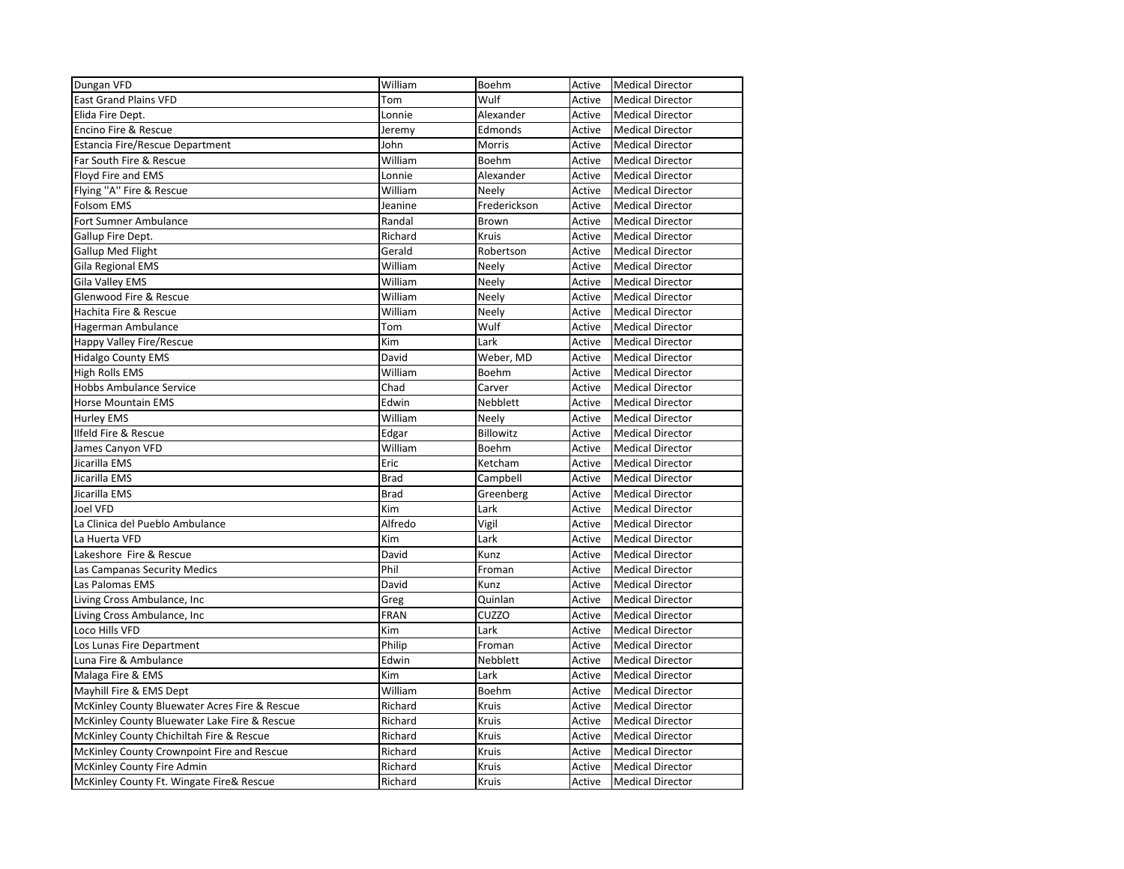| Dungan VFD                                    | William     | Boehm        | Active | <b>Medical Director</b> |
|-----------------------------------------------|-------------|--------------|--------|-------------------------|
| <b>East Grand Plains VFD</b>                  | Tom         | Wulf         | Active | <b>Medical Director</b> |
| Elida Fire Dept.                              | Lonnie      | Alexander    | Active | <b>Medical Director</b> |
| Encino Fire & Rescue                          | Jeremy      | Edmonds      | Active | <b>Medical Director</b> |
| <b>Estancia Fire/Rescue Department</b>        | John        | Morris       | Active | <b>Medical Director</b> |
| Far South Fire & Rescue                       | William     | Boehm        | Active | <b>Medical Director</b> |
| Floyd Fire and EMS                            | Lonnie      | Alexander    | Active | <b>Medical Director</b> |
| Flying "A" Fire & Rescue                      | William     | Neely        | Active | <b>Medical Director</b> |
| <b>Folsom EMS</b>                             | Jeanine     | Frederickson | Active | <b>Medical Director</b> |
| Fort Sumner Ambulance                         | Randal      | Brown        | Active | <b>Medical Director</b> |
| Gallup Fire Dept.                             | Richard     | <b>Kruis</b> | Active | <b>Medical Director</b> |
| Gallup Med Flight                             | Gerald      | Robertson    | Active | <b>Medical Director</b> |
| Gila Regional EMS                             | William     | Neely        | Active | <b>Medical Director</b> |
| Gila Valley EMS                               | William     | Neely        | Active | <b>Medical Director</b> |
| Glenwood Fire & Rescue                        | William     | Neely        | Active | <b>Medical Director</b> |
| Hachita Fire & Rescue                         | William     | Neely        | Active | <b>Medical Director</b> |
| Hagerman Ambulance                            | Tom         | Wulf         | Active | <b>Medical Director</b> |
| Happy Valley Fire/Rescue                      | Kim         | Lark         | Active | <b>Medical Director</b> |
| <b>Hidalgo County EMS</b>                     | David       | Weber, MD    | Active | <b>Medical Director</b> |
| <b>High Rolls EMS</b>                         | William     | Boehm        | Active | <b>Medical Director</b> |
| Hobbs Ambulance Service                       | Chad        | Carver       | Active | <b>Medical Director</b> |
| Horse Mountain EMS                            | Edwin       | Nebblett     | Active | <b>Medical Director</b> |
| Hurley EMS                                    | William     | Neely        | Active | <b>Medical Director</b> |
| Ilfeld Fire & Rescue                          | Edgar       | Billowitz    | Active | <b>Medical Director</b> |
| James Canyon VFD                              | William     | Boehm        | Active | <b>Medical Director</b> |
| Jicarilla EMS                                 | Eric        | Ketcham      | Active | <b>Medical Director</b> |
| Jicarilla EMS                                 | <b>Brad</b> | Campbell     | Active | <b>Medical Director</b> |
| Jicarilla EMS                                 | <b>Brad</b> | Greenberg    | Active | <b>Medical Director</b> |
| Joel VFD                                      | Kim         | Lark         | Active | <b>Medical Director</b> |
| La Clinica del Pueblo Ambulance               | Alfredo     | Vigil        | Active | <b>Medical Director</b> |
| La Huerta VFD                                 | Kim         | Lark         | Active | <b>Medical Director</b> |
| Lakeshore Fire & Rescue                       | David       | Kunz         | Active | <b>Medical Director</b> |
| Las Campanas Security Medics                  | Phil        | Froman       | Active | <b>Medical Director</b> |
| Las Palomas EMS                               | David       | Kunz         | Active | <b>Medical Director</b> |
| Living Cross Ambulance, Inc                   | Greg        | Quinlan      | Active | <b>Medical Director</b> |
| Living Cross Ambulance, Inc                   | <b>FRAN</b> | CUZZO        | Active | <b>Medical Director</b> |
| Loco Hills VFD                                | Kim         | Lark         | Active | <b>Medical Director</b> |
| Los Lunas Fire Department                     | Philip      | Froman       | Active | <b>Medical Director</b> |
| Luna Fire & Ambulance                         | Edwin       | Nebblett     | Active | <b>Medical Director</b> |
| Malaga Fire & EMS                             | Kim         | Lark         | Active | <b>Medical Director</b> |
| Mayhill Fire & EMS Dept                       | William     | Boehm        | Active | <b>Medical Director</b> |
| McKinley County Bluewater Acres Fire & Rescue | Richard     | Kruis        | Active | <b>Medical Director</b> |
| McKinley County Bluewater Lake Fire & Rescue  | Richard     | Kruis        | Active | <b>Medical Director</b> |
| McKinley County Chichiltah Fire & Rescue      | Richard     | Kruis        | Active | <b>Medical Director</b> |
| McKinley County Crownpoint Fire and Rescue    | Richard     | Kruis        | Active | <b>Medical Director</b> |
| McKinley County Fire Admin                    | Richard     | Kruis        | Active | <b>Medical Director</b> |
| McKinley County Ft. Wingate Fire& Rescue      | Richard     | Kruis        | Active | <b>Medical Director</b> |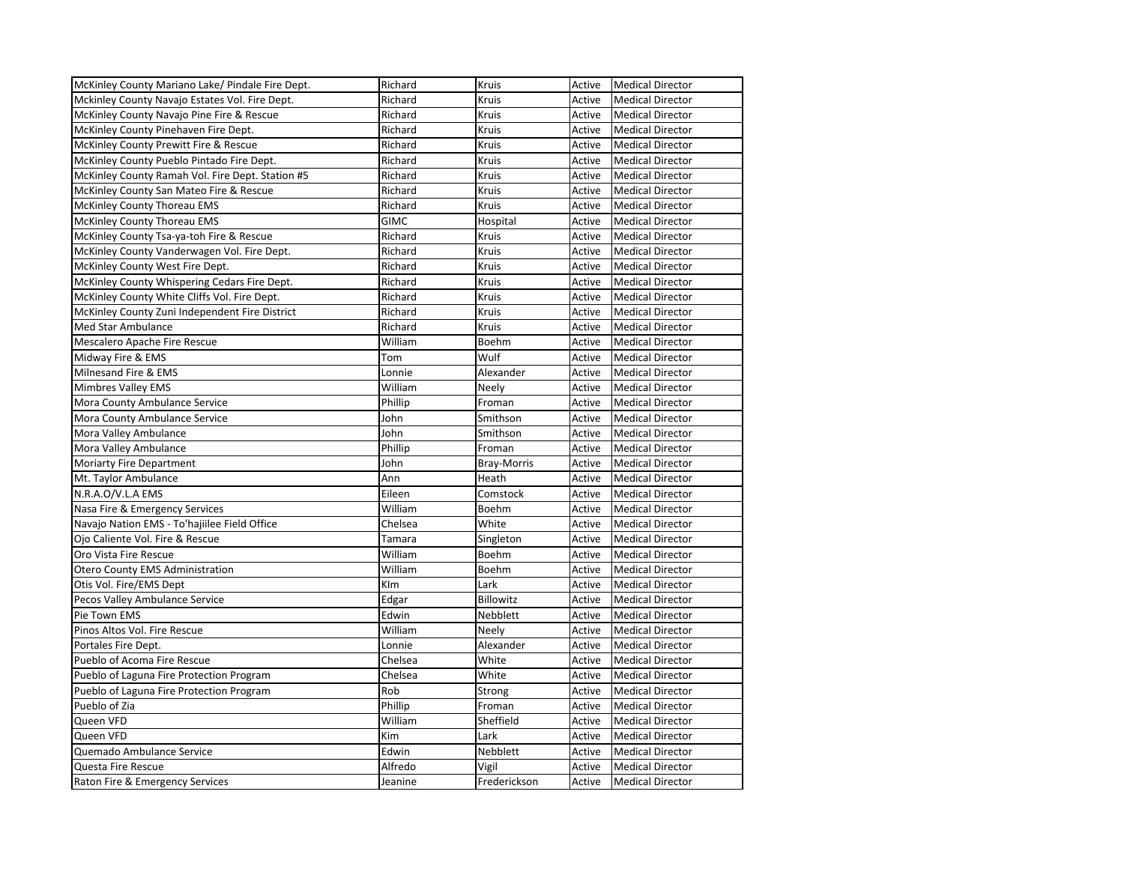| McKinley County Mariano Lake/ Pindale Fire Dept. | Richard     | Kruis        | Active | <b>Medical Director</b> |
|--------------------------------------------------|-------------|--------------|--------|-------------------------|
| Mckinley County Navajo Estates Vol. Fire Dept.   | Richard     | Kruis        | Active | <b>Medical Director</b> |
| McKinley County Navajo Pine Fire & Rescue        | Richard     | Kruis        | Active | <b>Medical Director</b> |
| McKinley County Pinehaven Fire Dept.             | Richard     | Kruis        | Active | <b>Medical Director</b> |
| McKinley County Prewitt Fire & Rescue            | Richard     | Kruis        | Active | <b>Medical Director</b> |
| McKinley County Pueblo Pintado Fire Dept.        | Richard     | Kruis        | Active | <b>Medical Director</b> |
| McKinley County Ramah Vol. Fire Dept. Station #5 | Richard     | Kruis        | Active | <b>Medical Director</b> |
| McKinley County San Mateo Fire & Rescue          | Richard     | Kruis        | Active | <b>Medical Director</b> |
| McKinley County Thoreau EMS                      | Richard     | <b>Kruis</b> | Active | <b>Medical Director</b> |
| McKinley County Thoreau EMS                      | <b>GIMC</b> | Hospital     | Active | <b>Medical Director</b> |
| McKinley County Tsa-ya-toh Fire & Rescue         | Richard     | Kruis        | Active | <b>Medical Director</b> |
| McKinley County Vanderwagen Vol. Fire Dept.      | Richard     | Kruis        | Active | <b>Medical Director</b> |
| McKinley County West Fire Dept.                  | Richard     | Kruis        | Active | <b>Medical Director</b> |
| McKinley County Whispering Cedars Fire Dept.     | Richard     | Kruis        | Active | <b>Medical Director</b> |
| McKinley County White Cliffs Vol. Fire Dept.     | Richard     | Kruis        | Active | <b>Medical Director</b> |
| McKinley County Zuni Independent Fire District   | Richard     | Kruis        | Active | <b>Medical Director</b> |
| <b>Med Star Ambulance</b>                        | Richard     | Kruis        | Active | <b>Medical Director</b> |
| Mescalero Apache Fire Rescue                     | William     | Boehm        | Active | <b>Medical Director</b> |
| Midway Fire & EMS                                | Tom         | Wulf         | Active | <b>Medical Director</b> |
| Milnesand Fire & EMS                             | Lonnie      | Alexander    | Active | <b>Medical Director</b> |
| <b>Mimbres Valley EMS</b>                        | William     | Neely        | Active | <b>Medical Director</b> |
| Mora County Ambulance Service                    | Phillip     | Froman       | Active | <b>Medical Director</b> |
| Mora County Ambulance Service                    | John        | Smithson     | Active | <b>Medical Director</b> |
| Mora Valley Ambulance                            | John        | Smithson     | Active | <b>Medical Director</b> |
| Mora Valley Ambulance                            | Phillip     | Froman       | Active | <b>Medical Director</b> |
| Moriarty Fire Department                         | John        | Bray-Morris  | Active | <b>Medical Director</b> |
| Mt. Taylor Ambulance                             | Ann         | Heath        | Active | <b>Medical Director</b> |
| N.R.A.O/V.L.A EMS                                | Eileen      | Comstock     | Active | <b>Medical Director</b> |
| Nasa Fire & Emergency Services                   | William     | Boehm        | Active | <b>Medical Director</b> |
| Navajo Nation EMS - To'hajiilee Field Office     | Chelsea     | White        | Active | <b>Medical Director</b> |
| Ojo Caliente Vol. Fire & Rescue                  | Tamara      | Singleton    | Active | <b>Medical Director</b> |
| Oro Vista Fire Rescue                            | William     | Boehm        | Active | <b>Medical Director</b> |
| <b>Otero County EMS Administration</b>           | William     | Boehm        | Active | <b>Medical Director</b> |
| Otis Vol. Fire/EMS Dept                          | KIm         | Lark         | Active | <b>Medical Director</b> |
| Pecos Valley Ambulance Service                   | Edgar       | Billowitz    | Active | <b>Medical Director</b> |
| Pie Town EMS                                     | Edwin       | Nebblett     | Active | <b>Medical Director</b> |
| Pinos Altos Vol. Fire Rescue                     | William     | Neely        | Active | <b>Medical Director</b> |
| Portales Fire Dept.                              | Lonnie      | Alexander    | Active | <b>Medical Director</b> |
| Pueblo of Acoma Fire Rescue                      | Chelsea     | White        | Active | <b>Medical Director</b> |
| Pueblo of Laguna Fire Protection Program         | Chelsea     | White        | Active | <b>Medical Director</b> |
| Pueblo of Laguna Fire Protection Program         | Rob         | Strong       | Active | <b>Medical Director</b> |
| Pueblo of Zia                                    | Phillip     | Froman       | Active | <b>Medical Director</b> |
| Queen VFD                                        | William     | Sheffield    | Active | <b>Medical Director</b> |
| Queen VFD                                        | Kim         | Lark         | Active | <b>Medical Director</b> |
| Quemado Ambulance Service                        | Edwin       | Nebblett     | Active | <b>Medical Director</b> |
| Questa Fire Rescue                               | Alfredo     | Vigil        | Active | <b>Medical Director</b> |
| Raton Fire & Emergency Services                  | Jeanine     | Frederickson | Active | <b>Medical Director</b> |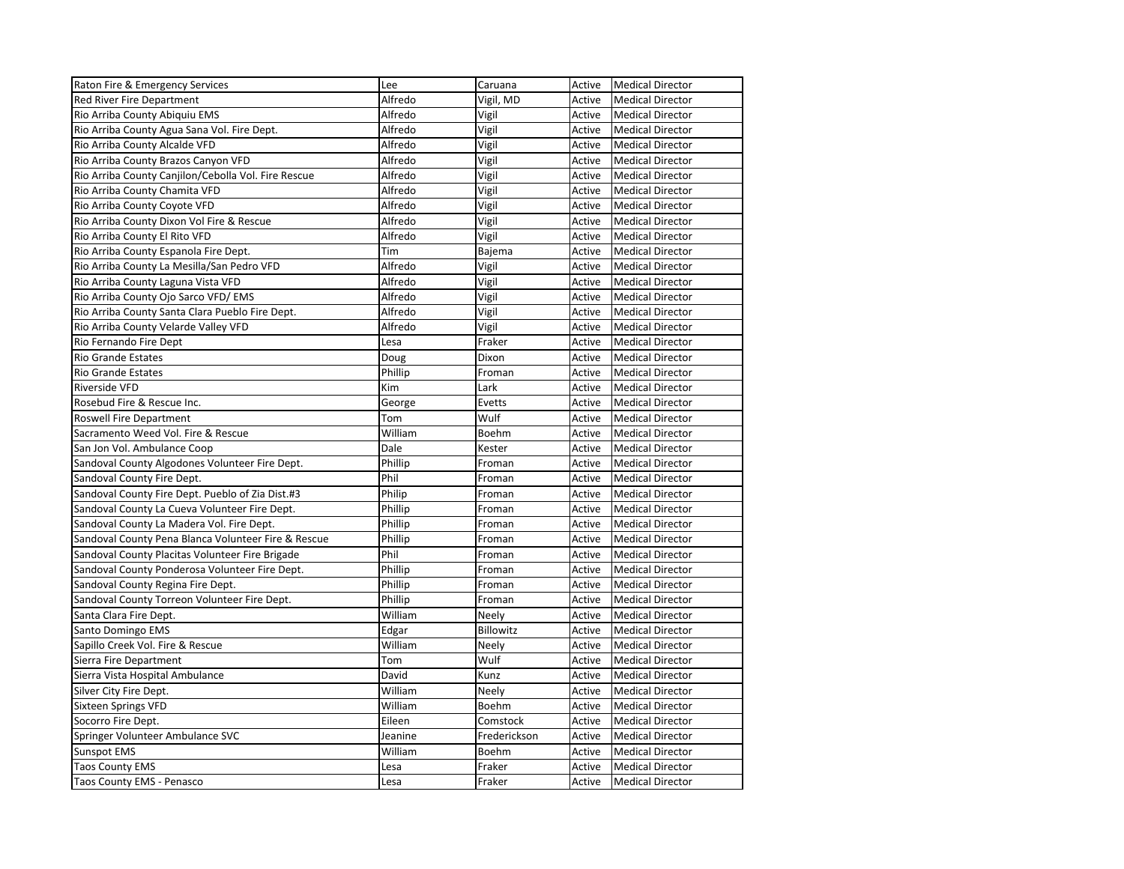| Raton Fire & Emergency Services                     | Lee     | Caruana          | Active | <b>Medical Director</b> |
|-----------------------------------------------------|---------|------------------|--------|-------------------------|
| Red River Fire Department                           | Alfredo | Vigil, MD        | Active | <b>Medical Director</b> |
| Rio Arriba County Abiquiu EMS                       | Alfredo | Vigil            | Active | <b>Medical Director</b> |
| Rio Arriba County Agua Sana Vol. Fire Dept.         | Alfredo | Vigil            | Active | <b>Medical Director</b> |
| Rio Arriba County Alcalde VFD                       | Alfredo | Vigil            | Active | <b>Medical Director</b> |
| Rio Arriba County Brazos Canyon VFD                 | Alfredo | Vigil            | Active | <b>Medical Director</b> |
| Rio Arriba County Canjilon/Cebolla Vol. Fire Rescue | Alfredo | Vigil            | Active | <b>Medical Director</b> |
| Rio Arriba County Chamita VFD                       | Alfredo | Vigil            | Active | <b>Medical Director</b> |
| Rio Arriba County Coyote VFD                        | Alfredo | Vigil            | Active | <b>Medical Director</b> |
| Rio Arriba County Dixon Vol Fire & Rescue           | Alfredo | Vigil            | Active | <b>Medical Director</b> |
| Rio Arriba County El Rito VFD                       | Alfredo | Vigil            | Active | <b>Medical Director</b> |
| Rio Arriba County Espanola Fire Dept.               | Tim     | Bajema           | Active | <b>Medical Director</b> |
| Rio Arriba County La Mesilla/San Pedro VFD          | Alfredo | Vigil            | Active | <b>Medical Director</b> |
| Rio Arriba County Laguna Vista VFD                  | Alfredo | Vigil            | Active | <b>Medical Director</b> |
| Rio Arriba County Ojo Sarco VFD/ EMS                | Alfredo | Vigil            | Active | <b>Medical Director</b> |
| Rio Arriba County Santa Clara Pueblo Fire Dept.     | Alfredo | Vigil            | Active | <b>Medical Director</b> |
| Rio Arriba County Velarde Valley VFD                | Alfredo | Vigil            | Active | <b>Medical Director</b> |
| Rio Fernando Fire Dept                              | Lesa    | Fraker           | Active | <b>Medical Director</b> |
| <b>Rio Grande Estates</b>                           | Doug    | Dixon            | Active | <b>Medical Director</b> |
| <b>Rio Grande Estates</b>                           | Phillip | Froman           | Active | <b>Medical Director</b> |
| Riverside VFD                                       | Kim     | Lark             | Active | <b>Medical Director</b> |
| Rosebud Fire & Rescue Inc.                          | George  | Evetts           | Active | <b>Medical Director</b> |
| Roswell Fire Department                             | Tom     | Wulf             | Active | <b>Medical Director</b> |
| Sacramento Weed Vol. Fire & Rescue                  | William | Boehm            | Active | <b>Medical Director</b> |
| San Jon Vol. Ambulance Coop                         | Dale    | Kester           | Active | <b>Medical Director</b> |
| Sandoval County Algodones Volunteer Fire Dept.      | Phillip | Froman           | Active | <b>Medical Director</b> |
| Sandoval County Fire Dept.                          | Phil    | Froman           | Active | <b>Medical Director</b> |
| Sandoval County Fire Dept. Pueblo of Zia Dist.#3    | Philip  | Froman           | Active | <b>Medical Director</b> |
| Sandoval County La Cueva Volunteer Fire Dept.       | Phillip | Froman           | Active | <b>Medical Director</b> |
| Sandoval County La Madera Vol. Fire Dept.           | Phillip | Froman           | Active | <b>Medical Director</b> |
| Sandoval County Pena Blanca Volunteer Fire & Rescue | Phillip | Froman           | Active | <b>Medical Director</b> |
| Sandoval County Placitas Volunteer Fire Brigade     | Phil    | Froman           | Active | <b>Medical Director</b> |
| Sandoval County Ponderosa Volunteer Fire Dept.      | Phillip | Froman           | Active | <b>Medical Director</b> |
| Sandoval County Regina Fire Dept.                   | Phillip | Froman           | Active | <b>Medical Director</b> |
| Sandoval County Torreon Volunteer Fire Dept.        | Phillip | Froman           | Active | <b>Medical Director</b> |
| Santa Clara Fire Dept.                              | William | Neely            | Active | <b>Medical Director</b> |
| Santo Domingo EMS                                   | Edgar   | <b>Billowitz</b> | Active | <b>Medical Director</b> |
| Sapillo Creek Vol. Fire & Rescue                    | William | Neely            | Active | <b>Medical Director</b> |
| Sierra Fire Department                              | Tom     | Wulf             | Active | <b>Medical Director</b> |
| Sierra Vista Hospital Ambulance                     | David   | Kunz             | Active | <b>Medical Director</b> |
| Silver City Fire Dept.                              | William | Neely            | Active | <b>Medical Director</b> |
| <b>Sixteen Springs VFD</b>                          | William | Boehm            | Active | <b>Medical Director</b> |
| Socorro Fire Dept.                                  | Eileen  | Comstock         | Active | <b>Medical Director</b> |
| Springer Volunteer Ambulance SVC                    | Jeanine | Frederickson     | Active | <b>Medical Director</b> |
| <b>Sunspot EMS</b>                                  | William | Boehm            | Active | <b>Medical Director</b> |
| <b>Taos County EMS</b>                              | Lesa    | Fraker           | Active | <b>Medical Director</b> |
| Taos County EMS - Penasco                           | Lesa    | Fraker           | Active | <b>Medical Director</b> |